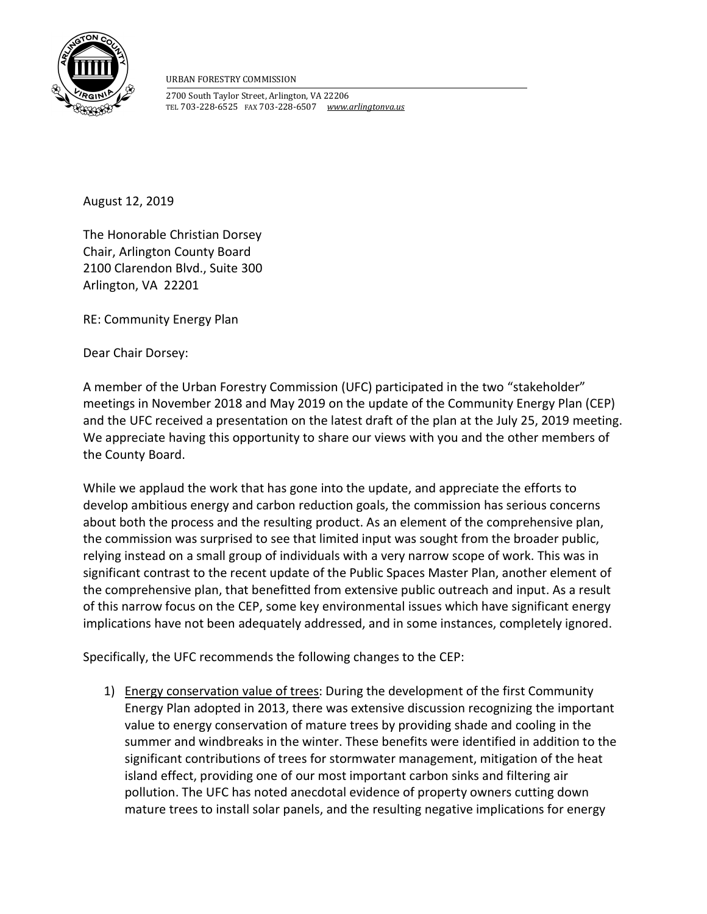

URBAN FORESTRY COMMISSION

2700 South Taylor Street, Arlington, VA 22206 TEL 703-228-6525 FAX 703-228-6507 www.arlingtonva.us

August 12, 2019

The Honorable Christian Dorsey Chair, Arlington County Board 2100 Clarendon Blvd., Suite 300 Arlington, VA 22201

RE: Community Energy Plan

Dear Chair Dorsey:

A member of the Urban Forestry Commission (UFC) participated in the two "stakeholder" meetings in November 2018 and May 2019 on the update of the Community Energy Plan (CEP) and the UFC received a presentation on the latest draft of the plan at the July 25, 2019 meeting. We appreciate having this opportunity to share our views with you and the other members of the County Board.

While we applaud the work that has gone into the update, and appreciate the efforts to develop ambitious energy and carbon reduction goals, the commission has serious concerns about both the process and the resulting product. As an element of the comprehensive plan, the commission was surprised to see that limited input was sought from the broader public, relying instead on a small group of individuals with a very narrow scope of work. This was in significant contrast to the recent update of the Public Spaces Master Plan, another element of the comprehensive plan, that benefitted from extensive public outreach and input. As a result of this narrow focus on the CEP, some key environmental issues which have significant energy implications have not been adequately addressed, and in some instances, completely ignored.

Specifically, the UFC recommends the following changes to the CEP:

1) Energy conservation value of trees: During the development of the first Community Energy Plan adopted in 2013, there was extensive discussion recognizing the important value to energy conservation of mature trees by providing shade and cooling in the summer and windbreaks in the winter. These benefits were identified in addition to the significant contributions of trees for stormwater management, mitigation of the heat island effect, providing one of our most important carbon sinks and filtering air pollution. The UFC has noted anecdotal evidence of property owners cutting down mature trees to install solar panels, and the resulting negative implications for energy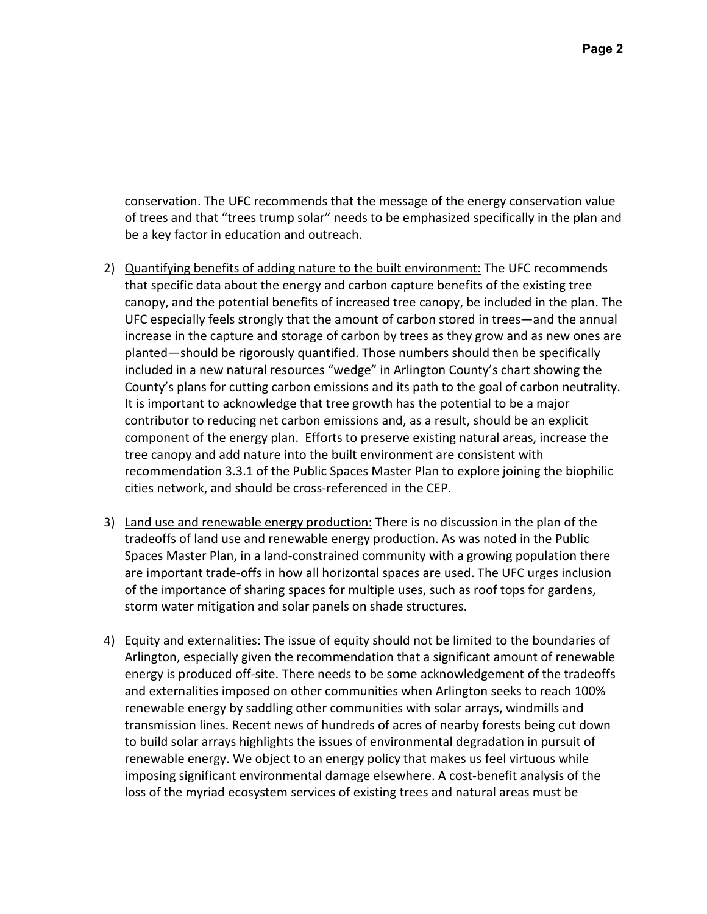conservation. The UFC recommends that the message of the energy conservation value of trees and that "trees trump solar" needs to be emphasized specifically in the plan and be a key factor in education and outreach.

- 2) Quantifying benefits of adding nature to the built environment: The UFC recommends that specific data about the energy and carbon capture benefits of the existing tree canopy, and the potential benefits of increased tree canopy, be included in the plan. The UFC especially feels strongly that the amount of carbon stored in trees—and the annual increase in the capture and storage of carbon by trees as they grow and as new ones are planted—should be rigorously quantified. Those numbers should then be specifically included in a new natural resources "wedge" in Arlington County's chart showing the County's plans for cutting carbon emissions and its path to the goal of carbon neutrality. It is important to acknowledge that tree growth has the potential to be a major contributor to reducing net carbon emissions and, as a result, should be an explicit component of the energy plan. Efforts to preserve existing natural areas, increase the tree canopy and add nature into the built environment are consistent with recommendation 3.3.1 of the Public Spaces Master Plan to explore joining the biophilic cities network, and should be cross-referenced in the CEP.
- 3) Land use and renewable energy production: There is no discussion in the plan of the tradeoffs of land use and renewable energy production. As was noted in the Public Spaces Master Plan, in a land-constrained community with a growing population there are important trade-offs in how all horizontal spaces are used. The UFC urges inclusion of the importance of sharing spaces for multiple uses, such as roof tops for gardens, storm water mitigation and solar panels on shade structures.
- 4) Equity and externalities: The issue of equity should not be limited to the boundaries of Arlington, especially given the recommendation that a significant amount of renewable energy is produced off-site. There needs to be some acknowledgement of the tradeoffs and externalities imposed on other communities when Arlington seeks to reach 100% renewable energy by saddling other communities with solar arrays, windmills and transmission lines. Recent news of hundreds of acres of nearby forests being cut down to build solar arrays highlights the issues of environmental degradation in pursuit of renewable energy. We object to an energy policy that makes us feel virtuous while imposing significant environmental damage elsewhere. A cost-benefit analysis of the loss of the myriad ecosystem services of existing trees and natural areas must be